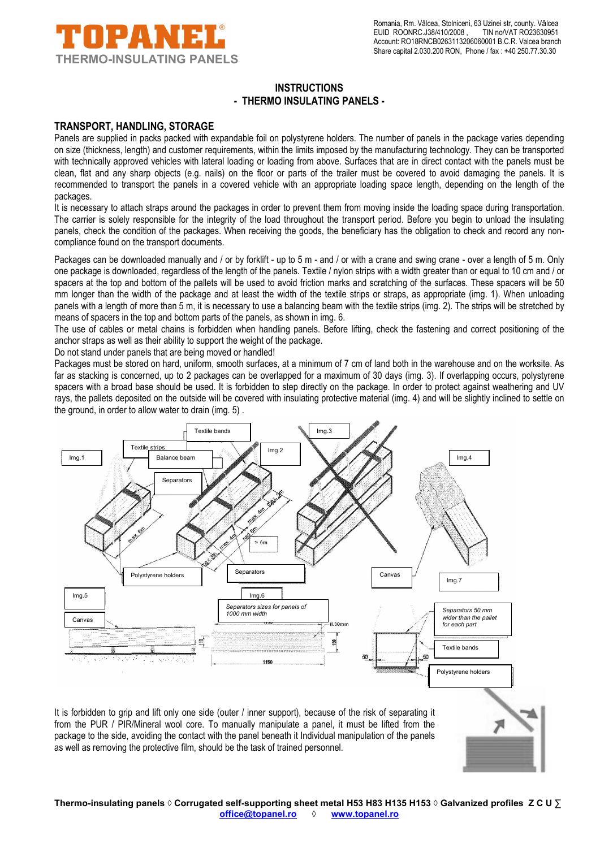

# **INSTRUCTIONS - THERMO INSULATING PANELS -**

#### **TRANSPORT, HANDLING, STORAGE**

Panels are supplied in packs packed with expandable foil on polystyrene holders. The number of panels in the package varies depending on size (thickness, length) and customer requirements, within the limits imposed by the manufacturing technology. They can be transported with technically approved vehicles with lateral loading or loading from above. Surfaces that are in direct contact with the panels must be clean, flat and any sharp objects (e.g. nails) on the floor or parts of the trailer must be covered to avoid damaging the panels. It is recommended to transport the panels in a covered vehicle with an appropriate loading space length, depending on the length of the packages.

It is necessary to attach straps around the packages in order to prevent them from moving inside the loading space during transportation. The carrier is solely responsible for the integrity of the load throughout the transport period. Before you begin to unload the insulating panels, check the condition of the packages. When receiving the goods, the beneficiary has the obligation to check and record any noncompliance found on the transport documents.

Packages can be downloaded manually and / or by forklift - up to 5 m - and / or with a crane and swing crane - over a length of 5 m. Only one package is downloaded, regardless of the length of the panels. Textile / nylon strips with a width greater than or equal to 10 cm and / or spacers at the top and bottom of the pallets will be used to avoid friction marks and scratching of the surfaces. These spacers will be 50 mm longer than the width of the package and at least the width of the textile strips or straps, as appropriate (img. 1). When unloading panels with a length of more than 5 m, it is necessary to use a balancing beam with the textile strips (img. 2). The strips will be stretched by means of spacers in the top and bottom parts of the panels, as shown in img. 6.

The use of cables or metal chains is forbidden when handling panels. Before lifting, check the fastening and correct positioning of the anchor straps as well as their ability to support the weight of the package.

Do not stand under panels that are being moved or handled!

Packages must be stored on hard, uniform, smooth surfaces, at a minimum of 7 cm of land both in the warehouse and on the worksite. As far as stacking is concerned, up to 2 packages can be overlapped for a maximum of 30 days (img. 3). If overlapping occurs, polystyrene spacers with a broad base should be used. It is forbidden to step directly on the package. In order to protect against weathering and UV rays, the pallets deposited on the outside will be covered with insulating protective material (img. 4) and will be slightly inclined to settle on the ground, in order to allow water to drain (img. 5) .